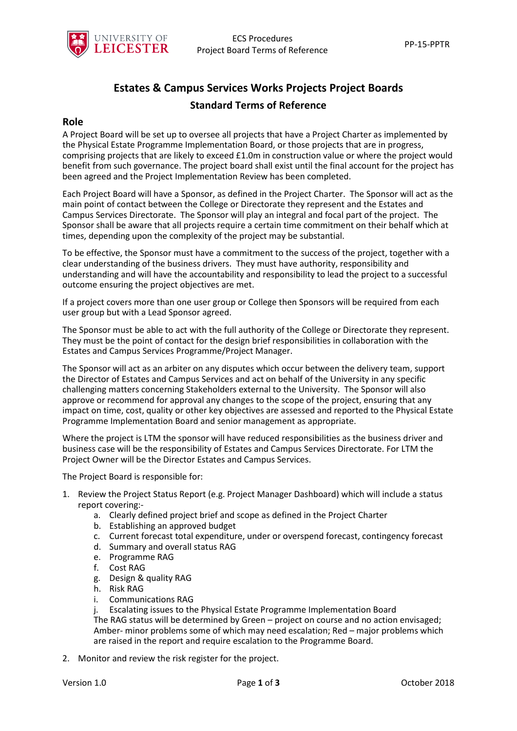

# **Estates & Campus Services Works Projects Project Boards Standard Terms of Reference**

#### **Role**

A Project Board will be set up to oversee all projects that have a Project Charter as implemented by the Physical Estate Programme Implementation Board, or those projects that are in progress, comprising projects that are likely to exceed £1.0m in construction value or where the project would benefit from such governance. The project board shall exist until the final account for the project has been agreed and the Project Implementation Review has been completed.

Each Project Board will have a Sponsor, as defined in the Project Charter. The Sponsor will act as the main point of contact between the College or Directorate they represent and the Estates and Campus Services Directorate. The Sponsor will play an integral and focal part of the project. The Sponsor shall be aware that all projects require a certain time commitment on their behalf which at times, depending upon the complexity of the project may be substantial.

To be effective, the Sponsor must have a commitment to the success of the project, together with a clear understanding of the business drivers. They must have authority, responsibility and understanding and will have the accountability and responsibility to lead the project to a successful outcome ensuring the project objectives are met.

If a project covers more than one user group or College then Sponsors will be required from each user group but with a Lead Sponsor agreed.

The Sponsor must be able to act with the full authority of the College or Directorate they represent. They must be the point of contact for the design brief responsibilities in collaboration with the Estates and Campus Services Programme/Project Manager.

The Sponsor will act as an arbiter on any disputes which occur between the delivery team, support the Director of Estates and Campus Services and act on behalf of the University in any specific challenging matters concerning Stakeholders external to the University. The Sponsor will also approve or recommend for approval any changes to the scope of the project, ensuring that any impact on time, cost, quality or other key objectives are assessed and reported to the Physical Estate Programme Implementation Board and senior management as appropriate.

Where the project is LTM the sponsor will have reduced responsibilities as the business driver and business case will be the responsibility of Estates and Campus Services Directorate. For LTM the Project Owner will be the Director Estates and Campus Services.

The Project Board is responsible for:

- 1. Review the Project Status Report (e.g. Project Manager Dashboard) which will include a status report covering:
	- a. Clearly defined project brief and scope as defined in the Project Charter
	- b. Establishing an approved budget
	- c. Current forecast total expenditure, under or overspend forecast, contingency forecast
	- d. Summary and overall status RAG
	- e. Programme RAG
	- f. Cost RAG
	- g. Design & quality RAG
	- h. Risk RAG
	- i. Communications RAG
	- j. Escalating issues to the Physical Estate Programme Implementation Board

The RAG status will be determined by Green – project on course and no action envisaged; Amber- minor problems some of which may need escalation; Red – major problems which are raised in the report and require escalation to the Programme Board.

2. Monitor and review the risk register for the project.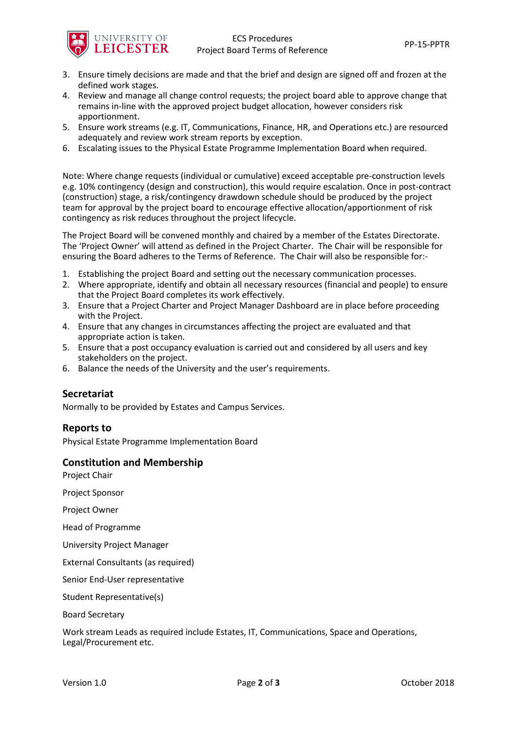

- 3. Ensure timely decisions are made and that the brief and design are signed off and frozen at the defined work stages.
- 4. Review and manage all change control requests; the project board able to approve change that remains in-line with the approved project budget allocation, however considers risk apportionment.
- 5. Ensure work streams (e.g. IT, Communications, Finance, HR, and Operations etc.) are resourced adequately and review work stream reports by exception.
- 6. Escalating issues to the Physical Estate Programme Implementation Board when required.

Note: Where change requests (individual or cumulative) exceed acceptable pre-construction levels e.g. 10% contingency (design and construction), this would require escalation. Once in post-contract (construction) stage, a risk/contingency drawdown schedule should be produced by the project team for approval by the project board to encourage effective allocation/apportionment of risk contingency as risk reduces throughout the project lifecycle.

The Project Board will be convened monthly and chaired by a member of the Estates Directorate. The 'Project Owner' will attend as defined in the Project Charter. The Chair will be responsible for ensuring the Board adheres to the Terms of Reference. The Chair will also be responsible for:-

- 1. Establishing the project Board and setting out the necessary communication processes.
- 2. Where appropriate, identify and obtain all necessary resources (financial and people) to ensure that the Project Board completes its work effectively.
- 3. Ensure that a Project Charter and Project Manager Dashboard are in place before proceeding with the Project.
- 4. Ensure that any changes in circumstances affecting the project are evaluated and that appropriate action is taken.
- 5. Ensure that a post occupancy evaluation is carried out and considered by all users and key stakeholders on the project.
- 6. Balance the needs of the University and the user's requirements.

#### **Secretariat**

Normally to be provided by Estates and Campus Services.

#### **Reports to**

Physical Estate Programme Implementation Board

#### **Constitution and Membership**

Project Chair

Project Sponsor

Project Owner

Head of Programme

University Project Manager

External Consultants (as required)

Senior End-User representative

Student Representative(s)

Board Secretary

Work stream Leads as required include Estates, IT, Communications, Space and Operations, Legal/Procurement etc.